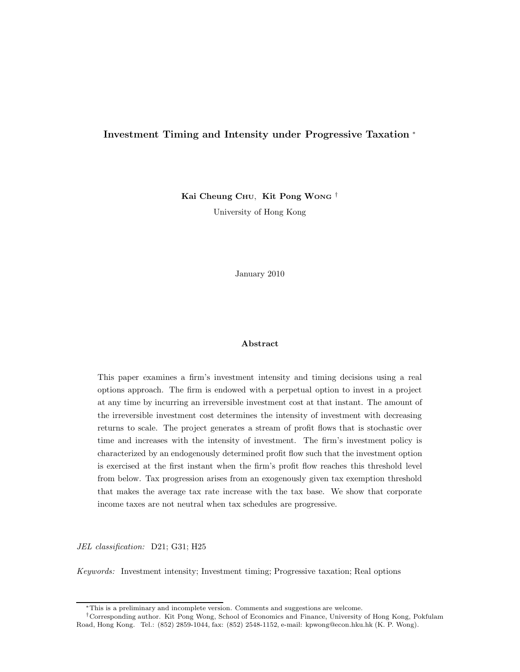# Investment Timing and Intensity under Progressive Taxation <sup>∗</sup>

Kai Cheung CHU, Kit Pong WONG<sup>†</sup> University of Hong Kong

January 2010

#### Abstract

This paper examines a firm's investment intensity and timing decisions using a real options approach. The firm is endowed with a perpetual option to invest in a project at any time by incurring an irreversible investment cost at that instant. The amount of the irreversible investment cost determines the intensity of investment with decreasing returns to scale. The project generates a stream of profit flows that is stochastic over time and increases with the intensity of investment. The firm's investment policy is characterized by an endogenously determined profit flow such that the investment option is exercised at the first instant when the firm's profit flow reaches this threshold level from below. Tax progression arises from an exogenously given tax exemption threshold that makes the average tax rate increase with the tax base. We show that corporate income taxes are not neutral when tax schedules are progressive.

JEL classification: D21; G31; H25

Keywords: Investment intensity; Investment timing; Progressive taxation; Real options

<sup>∗</sup>This is a preliminary and incomplete version. Comments and suggestions are welcome.

<sup>†</sup>Corresponding author. Kit Pong Wong, School of Economics and Finance, University of Hong Kong, Pokfulam Road, Hong Kong. Tel.: (852) 2859-1044, fax: (852) 2548-1152, e-mail: kpwong@econ.hku.hk (K. P. Wong).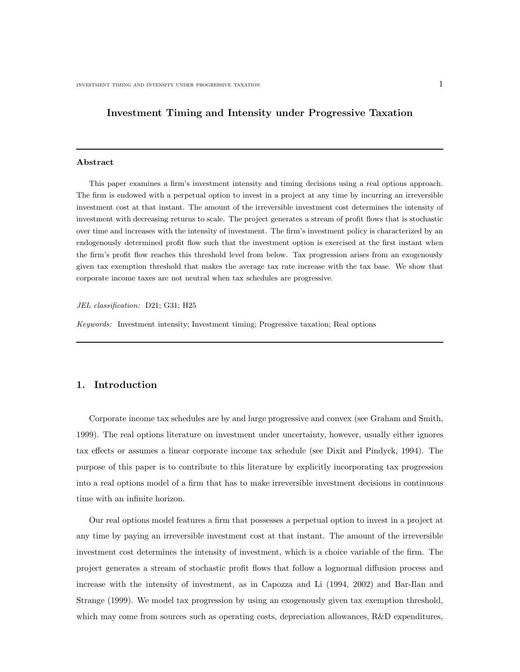# Investment Timing and Intensity under Progressive Taxation

#### Abstract

This paper examines a firm's investment intensity and timing decisions using a real options approach. The firm is endowed with a perpetual option to invest in a project at any time by incurring an irreversible investment cost at that instant. The amount of the irreversible investment cost determines the intensity of investment with decreasing returns to scale. The project generates a stream of profit flows that is stochastic over time and increases with the intensity of investment. The firm's investment policy is characterized by an endogenously determined profit flow such that the investment option is exercised at the first instant when the firm's profit flow reaches this threshold level from below. Tax progression arises from an exogenously given tax exemption threshold that makes the average tax rate increase with the tax base. We show that corporate income taxes are not neutral when tax schedules are progressive.

#### JEL classification: D21; G31; H25

Keywords: Investment intensity; Investment timing; Progressive taxation; Real options

### 1. Introduction

Corporate income tax schedules are by and large progressive and convex (see Graham and Smith, 1999). The real options literature on investment under uncertainty, however, usually either ignores tax effects or assumes a linear corporate income tax schedule (see Dixit and Pindyck, 1994). The purpose of this paper is to contribute to this literature by explicitly incorporating tax progression into a real options model of a firm that has to make irreversible investment decisions in continuous time with an infinite horizon.

Our real options model features a firm that possesses a perpetual option to invest in a project at any time by paying an irreversible investment cost at that instant. The amount of the irreversible investment cost determines the intensity of investment, which is a choice variable of the firm. The project generates a stream of stochastic profit flows that follow a lognormal diffusion process and increase with the intensity of investment, as in Capozza and Li (1994, 2002) and Bar-Ilan and Strange (1999). We model tax progression by using an exogenously given tax exemption threshold, which may come from sources such as operating costs, depreciation allowances, R&D expenditures,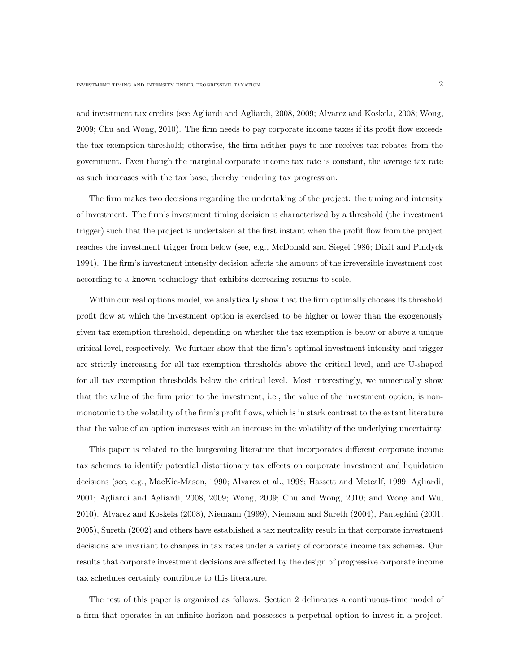and investment tax credits (see Agliardi and Agliardi, 2008, 2009; Alvarez and Koskela, 2008; Wong, 2009; Chu and Wong, 2010). The firm needs to pay corporate income taxes if its profit flow exceeds the tax exemption threshold; otherwise, the firm neither pays to nor receives tax rebates from the government. Even though the marginal corporate income tax rate is constant, the average tax rate as such increases with the tax base, thereby rendering tax progression.

The firm makes two decisions regarding the undertaking of the project: the timing and intensity of investment. The firm's investment timing decision is characterized by a threshold (the investment trigger) such that the project is undertaken at the first instant when the profit flow from the project reaches the investment trigger from below (see, e.g., McDonald and Siegel 1986; Dixit and Pindyck 1994). The firm's investment intensity decision affects the amount of the irreversible investment cost according to a known technology that exhibits decreasing returns to scale.

Within our real options model, we analytically show that the firm optimally chooses its threshold profit flow at which the investment option is exercised to be higher or lower than the exogenously given tax exemption threshold, depending on whether the tax exemption is below or above a unique critical level, respectively. We further show that the firm's optimal investment intensity and trigger are strictly increasing for all tax exemption thresholds above the critical level, and are U-shaped for all tax exemption thresholds below the critical level. Most interestingly, we numerically show that the value of the firm prior to the investment, i.e., the value of the investment option, is nonmonotonic to the volatility of the firm's profit flows, which is in stark contrast to the extant literature that the value of an option increases with an increase in the volatility of the underlying uncertainty.

This paper is related to the burgeoning literature that incorporates different corporate income tax schemes to identify potential distortionary tax effects on corporate investment and liquidation decisions (see, e.g., MacKie-Mason, 1990; Alvarez et al., 1998; Hassett and Metcalf, 1999; Agliardi, 2001; Agliardi and Agliardi, 2008, 2009; Wong, 2009; Chu and Wong, 2010; and Wong and Wu, 2010). Alvarez and Koskela (2008), Niemann (1999), Niemann and Sureth (2004), Panteghini (2001, 2005), Sureth (2002) and others have established a tax neutrality result in that corporate investment decisions are invariant to changes in tax rates under a variety of corporate income tax schemes. Our results that corporate investment decisions are affected by the design of progressive corporate income tax schedules certainly contribute to this literature.

The rest of this paper is organized as follows. Section 2 delineates a continuous-time model of a firm that operates in an infinite horizon and possesses a perpetual option to invest in a project.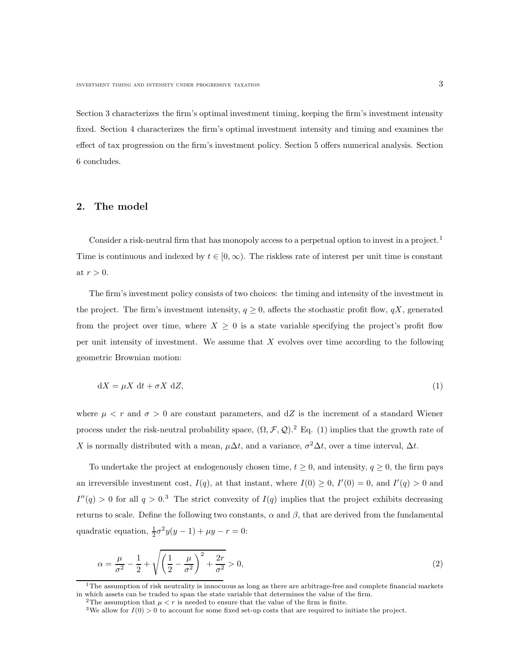Section 3 characterizes the firm's optimal investment timing, keeping the firm's investment intensity fixed. Section 4 characterizes the firm's optimal investment intensity and timing and examines the effect of tax progression on the firm's investment policy. Section 5 offers numerical analysis. Section 6 concludes.

### 2. The model

Consider a risk-neutral firm that has monopoly access to a perpetual option to invest in a project.<sup>1</sup> Time is continuous and indexed by  $t \in [0, \infty)$ . The riskless rate of interest per unit time is constant at  $r > 0$ .

The firm's investment policy consists of two choices: the timing and intensity of the investment in the project. The firm's investment intensity,  $q \ge 0$ , affects the stochastic profit flow,  $qX$ , generated from the project over time, where  $X \geq 0$  is a state variable specifying the project's profit flow per unit intensity of investment. We assume that  $X$  evolves over time according to the following geometric Brownian motion:

$$
dX = \mu X dt + \sigma X dZ,
$$
\n(1)

where  $\mu < r$  and  $\sigma > 0$  are constant parameters, and dZ is the increment of a standard Wiener process under the risk-neutral probability space,  $(\Omega, \mathcal{F}, \mathcal{Q})$ .<sup>2</sup> Eq. (1) implies that the growth rate of X is normally distributed with a mean,  $\mu \Delta t$ , and a variance,  $\sigma^2 \Delta t$ , over a time interval,  $\Delta t$ .

To undertake the project at endogenously chosen time,  $t \geq 0$ , and intensity,  $q \geq 0$ , the firm pays an irreversible investment cost,  $I(q)$ , at that instant, where  $I(0) \geq 0$ ,  $I'(0) = 0$ , and  $I'(q) > 0$  and  $I''(q) > 0$  for all  $q > 0.3$  The strict convexity of  $I(q)$  implies that the project exhibits decreasing returns to scale. Define the following two constants,  $\alpha$  and  $\beta$ , that are derived from the fundamental quadratic equation,  $\frac{1}{2}\sigma^2 y(y-1) + \mu y - r = 0$ :

$$
\alpha = \frac{\mu}{\sigma^2} - \frac{1}{2} + \sqrt{\left(\frac{1}{2} - \frac{\mu}{\sigma^2}\right)^2 + \frac{2r}{\sigma^2}} > 0,
$$
\n(2)

 $1$ The assumption of risk neutrality is innocuous as long as there are arbitrage-free and complete financial markets in which assets can be traded to span the state variable that determines the value of the firm.<br><sup>2</sup>The assumption that  $\mu < r$  is needed to ensure that the value of the firm is finite.

<sup>&</sup>lt;sup>3</sup>We allow for  $I(0) > 0$  to account for some fixed set-up costs that are required to initiate the project.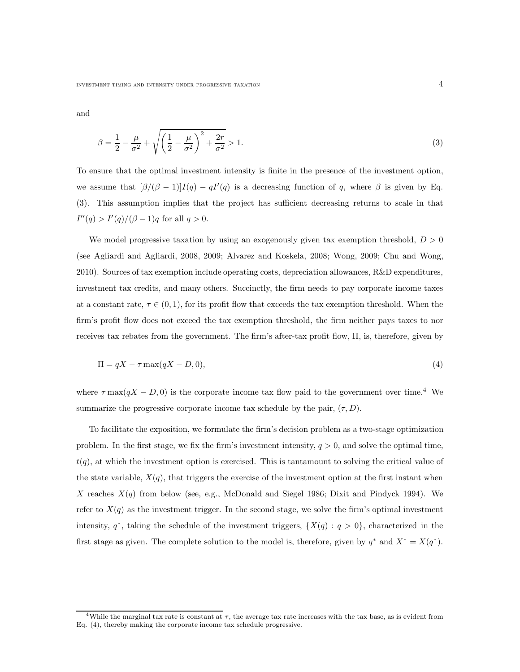investment timing and intensity under progressive taxation  $\hspace{1cm} 4 \hspace{1cm}$ 

and

$$
\beta = \frac{1}{2} - \frac{\mu}{\sigma^2} + \sqrt{\left(\frac{1}{2} - \frac{\mu}{\sigma^2}\right)^2 + \frac{2r}{\sigma^2}} > 1.
$$
\n(3)

To ensure that the optimal investment intensity is finite in the presence of the investment option, we assume that  $\left[\beta/(\beta-1)\right]I(q) - qI'(q)$  is a decreasing function of q, where  $\beta$  is given by Eq. (3). This assumption implies that the project has sufficient decreasing returns to scale in that  $I''(q) > I'(q)/(\beta - 1)q$  for all  $q > 0$ .

We model progressive taxation by using an exogenously given tax exemption threshold,  $D > 0$ (see Agliardi and Agliardi, 2008, 2009; Alvarez and Koskela, 2008; Wong, 2009; Chu and Wong, 2010). Sources of tax exemption include operating costs, depreciation allowances,  $R\&D$  expenditures, investment tax credits, and many others. Succinctly, the firm needs to pay corporate income taxes at a constant rate,  $\tau \in (0,1)$ , for its profit flow that exceeds the tax exemption threshold. When the firm's profit flow does not exceed the tax exemption threshold, the firm neither pays taxes to nor receives tax rebates from the government. The firm's after-tax profit flow, Π, is, therefore, given by

$$
\Pi = qX - \tau \max(qX - D, 0),\tag{4}
$$

where  $\tau$  max $(qX - D, 0)$  is the corporate income tax flow paid to the government over time.<sup>4</sup> We summarize the progressive corporate income tax schedule by the pair,  $(\tau, D)$ .

To facilitate the exposition, we formulate the firm's decision problem as a two-stage optimization problem. In the first stage, we fix the firm's investment intensity,  $q > 0$ , and solve the optimal time,  $t(q)$ , at which the investment option is exercised. This is tantamount to solving the critical value of the state variable,  $X(q)$ , that triggers the exercise of the investment option at the first instant when X reaches  $X(q)$  from below (see, e.g., McDonald and Siegel 1986; Dixit and Pindyck 1994). We refer to  $X(q)$  as the investment trigger. In the second stage, we solve the firm's optimal investment intensity,  $q^*$ , taking the schedule of the investment triggers,  $\{X(q) : q > 0\}$ , characterized in the first stage as given. The complete solution to the model is, therefore, given by  $q^*$  and  $X^* = X(q^*)$ .

<sup>&</sup>lt;sup>4</sup>While the marginal tax rate is constant at  $\tau$ , the average tax rate increases with the tax base, as is evident from Eq. (4), thereby making the corporate income tax schedule progressive.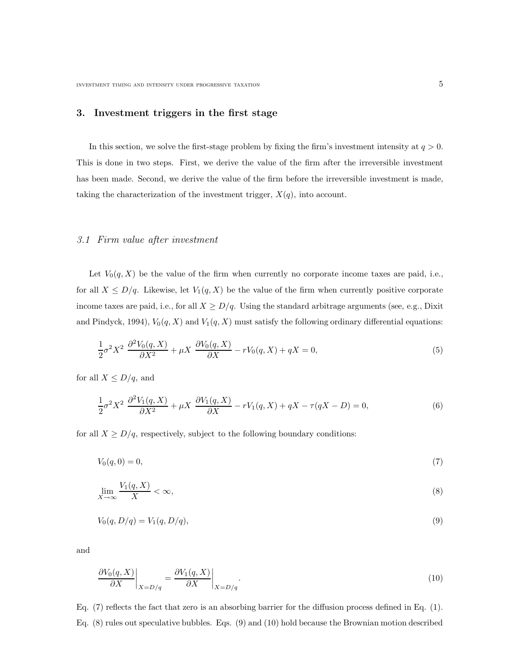### 3. Investment triggers in the first stage

In this section, we solve the first-stage problem by fixing the firm's investment intensity at  $q > 0$ . This is done in two steps. First, we derive the value of the firm after the irreversible investment has been made. Second, we derive the value of the firm before the irreversible investment is made, taking the characterization of the investment trigger,  $X(q)$ , into account.

### 3.1 Firm value after investment

Let  $V_0(q, X)$  be the value of the firm when currently no corporate income taxes are paid, i.e., for all  $X \leq D/q$ . Likewise, let  $V_1(q, X)$  be the value of the firm when currently positive corporate income taxes are paid, i.e., for all  $X \ge D/q$ . Using the standard arbitrage arguments (see, e.g., Dixit and Pindyck, 1994),  $V_0(q, X)$  and  $V_1(q, X)$  must satisfy the following ordinary differential equations:

$$
\frac{1}{2}\sigma^2 X^2 \frac{\partial^2 V_0(q, X)}{\partial X^2} + \mu X \frac{\partial V_0(q, X)}{\partial X} - rV_0(q, X) + qX = 0,
$$
\n(5)

for all  $X \leq D/q$ , and

$$
\frac{1}{2}\sigma^2 X^2 \frac{\partial^2 V_1(q, X)}{\partial X^2} + \mu X \frac{\partial V_1(q, X)}{\partial X} - rV_1(q, X) + qX - \tau(qX - D) = 0,
$$
\n(6)

for all  $X \ge D/q$ , respectively, subject to the following boundary conditions:

$$
V_0(q,0) = 0,\t\t(7)
$$

$$
\lim_{X \to \infty} \frac{V_1(q, X)}{X} < \infty,\tag{8}
$$

$$
V_0(q, D/q) = V_1(q, D/q),
$$
\n(9)

and

$$
\left. \frac{\partial V_0(q, X)}{\partial X} \right|_{X = D/q} = \left. \frac{\partial V_1(q, X)}{\partial X} \right|_{X = D/q}.
$$
\n(10)

Eq. (7) reflects the fact that zero is an absorbing barrier for the diffusion process defined in Eq. (1). Eq. (8) rules out speculative bubbles. Eqs. (9) and (10) hold because the Brownian motion described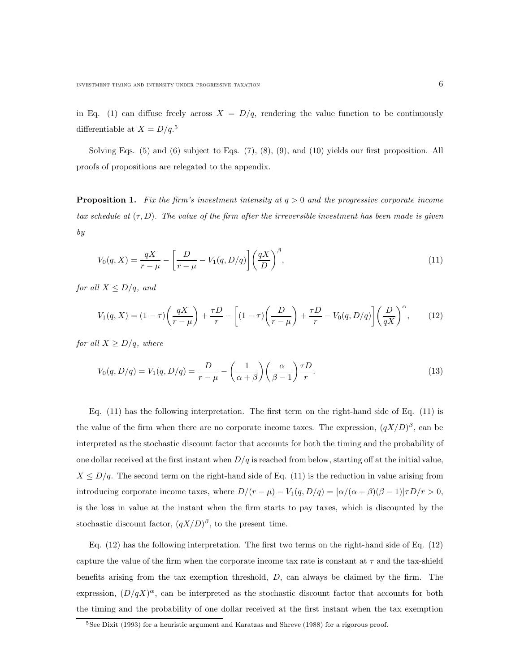in Eq. (1) can diffuse freely across  $X = D/q$ , rendering the value function to be continuously differentiable at  $X = D/q$ .<sup>5</sup>

Solving Eqs. (5) and (6) subject to Eqs. (7), (8), (9), and (10) yields our first proposition. All proofs of propositions are relegated to the appendix.

**Proposition 1.** Fix the firm's investment intensity at  $q > 0$  and the progressive corporate income tax schedule at  $(\tau, D)$ . The value of the firm after the irreversible investment has been made is given by

$$
V_0(q, X) = \frac{qX}{r - \mu} - \left[\frac{D}{r - \mu} - V_1(q, D/q)\right] \left(\frac{qX}{D}\right)^{\beta},\tag{11}
$$

for all  $X \leq D/q$ , and

$$
V_1(q, X) = (1 - \tau) \left(\frac{qX}{r - \mu}\right) + \frac{\tau D}{r} - \left[ (1 - \tau) \left(\frac{D}{r - \mu}\right) + \frac{\tau D}{r} - V_0(q, D/q) \right] \left(\frac{D}{qX}\right)^\alpha, \tag{12}
$$

for all  $X \ge D/q$ , where

$$
V_0(q, D/q) = V_1(q, D/q) = \frac{D}{r - \mu} - \left(\frac{1}{\alpha + \beta}\right) \left(\frac{\alpha}{\beta - 1}\right) \frac{\tau D}{r}.
$$
\n(13)

Eq. (11) has the following interpretation. The first term on the right-hand side of Eq. (11) is the value of the firm when there are no corporate income taxes. The expression,  $(qX/D)^{\beta}$ , can be interpreted as the stochastic discount factor that accounts for both the timing and the probability of one dollar received at the first instant when  $D/q$  is reached from below, starting off at the initial value,  $X \leq D/q$ . The second term on the right-hand side of Eq. (11) is the reduction in value arising from introducing corporate income taxes, where  $D/(r - \mu) - V_1(q, D/q) = [\alpha/(\alpha + \beta)(\beta - 1)]\tau D/r > 0$ , is the loss in value at the instant when the firm starts to pay taxes, which is discounted by the stochastic discount factor,  $(qX/D)^{\beta}$ , to the present time.

Eq. (12) has the following interpretation. The first two terms on the right-hand side of Eq. (12) capture the value of the firm when the corporate income tax rate is constant at  $\tau$  and the tax-shield benefits arising from the tax exemption threshold, D, can always be claimed by the firm. The expression,  $(D/qX)^{\alpha}$ , can be interpreted as the stochastic discount factor that accounts for both the timing and the probability of one dollar received at the first instant when the tax exemption

 $5$ See Dixit (1993) for a heuristic argument and Karatzas and Shreve (1988) for a rigorous proof.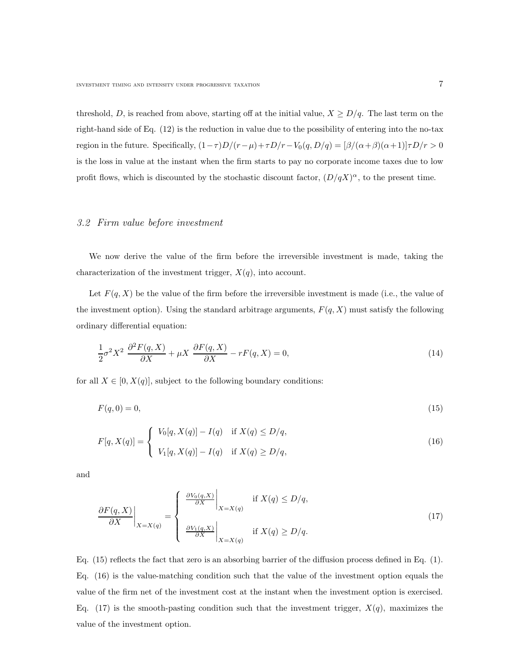threshold, D, is reached from above, starting off at the initial value,  $X \ge D/q$ . The last term on the right-hand side of Eq. (12) is the reduction in value due to the possibility of entering into the no-tax region in the future. Specifically,  $(1 - \tau)D/(r - \mu) + \tau D/r - V_0(q, D/q) = [\beta/(\alpha + \beta)(\alpha + 1)]\tau D/r > 0$ is the loss in value at the instant when the firm starts to pay no corporate income taxes due to low profit flows, which is discounted by the stochastic discount factor,  $(D/qX)^{\alpha}$ , to the present time.

#### 3.2 Firm value before investment

We now derive the value of the firm before the irreversible investment is made, taking the characterization of the investment trigger,  $X(q)$ , into account.

Let  $F(q, X)$  be the value of the firm before the irreversible investment is made (i.e., the value of the investment option). Using the standard arbitrage arguments,  $F(q, X)$  must satisfy the following ordinary differential equation:

$$
\frac{1}{2}\sigma^2 X^2 \frac{\partial^2 F(q, X)}{\partial X} + \mu X \frac{\partial F(q, X)}{\partial X} - rF(q, X) = 0,
$$
\n(14)

for all  $X \in [0, X(q)]$ , subject to the following boundary conditions:

$$
F(q,0) = 0,\tag{15}
$$

$$
F[q, X(q)] = \begin{cases} V_0[q, X(q)] - I(q) & \text{if } X(q) \le D/q, \\ V_1[q, X(q)] - I(q) & \text{if } X(q) \ge D/q, \end{cases}
$$
\n(16)

and

$$
\frac{\partial F(q, X)}{\partial X}\bigg|_{X=X(q)} = \begin{cases} \left. \frac{\partial V_0(q, X)}{\partial X} \right|_{X=X(q)} & \text{if } X(q) \le D/q, \\ \left. \frac{\partial V_1(q, X)}{\partial X} \right|_{X=X(q)} & \text{if } X(q) \ge D/q. \end{cases} \tag{17}
$$

Eq.  $(15)$  reflects the fact that zero is an absorbing barrier of the diffusion process defined in Eq.  $(1)$ . Eq. (16) is the value-matching condition such that the value of the investment option equals the value of the firm net of the investment cost at the instant when the investment option is exercised. Eq. (17) is the smooth-pasting condition such that the investment trigger,  $X(q)$ , maximizes the value of the investment option.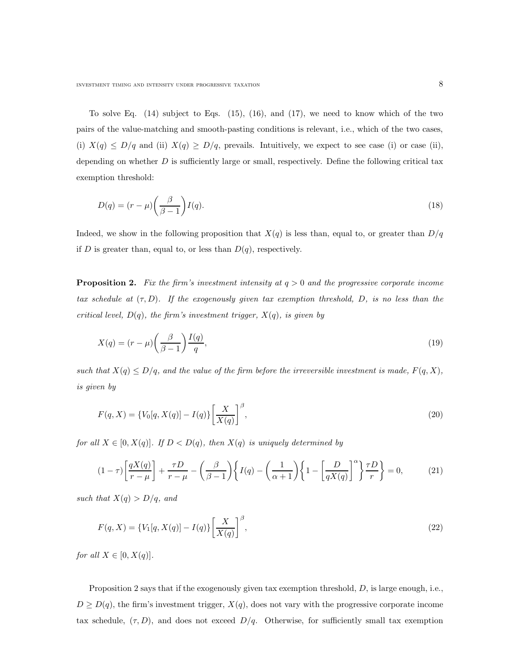To solve Eq.  $(14)$  subject to Eqs.  $(15)$ ,  $(16)$ , and  $(17)$ , we need to know which of the two pairs of the value-matching and smooth-pasting conditions is relevant, i.e., which of the two cases, (i)  $X(q) \le D/q$  and (ii)  $X(q) \ge D/q$ , prevails. Intuitively, we expect to see case (i) or case (ii), depending on whether  $D$  is sufficiently large or small, respectively. Define the following critical tax exemption threshold:

$$
D(q) = (r - \mu) \left(\frac{\beta}{\beta - 1}\right) I(q). \tag{18}
$$

Indeed, we show in the following proposition that  $X(q)$  is less than, equal to, or greater than  $D/q$ if D is greater than, equal to, or less than  $D(q)$ , respectively.

**Proposition 2.** Fix the firm's investment intensity at  $q > 0$  and the progressive corporate income tax schedule at  $(\tau, D)$ . If the exogenously given tax exemption threshold, D, is no less than the critical level,  $D(q)$ , the firm's investment trigger,  $X(q)$ , is given by

$$
X(q) = (r - \mu) \left(\frac{\beta}{\beta - 1}\right) \frac{I(q)}{q},\tag{19}
$$

such that  $X(q) \le D/q$ , and the value of the firm before the irreversible investment is made,  $F(q, X)$ , is given by

$$
F(q, X) = \{V_0[q, X(q)] - I(q)\} \left[\frac{X}{X(q)}\right]^\beta,
$$
\n(20)

for all  $X \in [0, X(q)]$ . If  $D < D(q)$ , then  $X(q)$  is uniquely determined by

$$
(1-\tau)\left[\frac{qX(q)}{r-\mu}\right] + \frac{\tau D}{r-\mu} - \left(\frac{\beta}{\beta-1}\right)\left\{I(q) - \left(\frac{1}{\alpha+1}\right)\left\{1 - \left[\frac{D}{qX(q)}\right]^\alpha\right\}\frac{\tau D}{r}\right\} = 0,\tag{21}
$$

such that  $X(q) > D/q$ , and

$$
F(q, X) = \{V_1[q, X(q)] - I(q)\} \left[\frac{X}{X(q)}\right]^\beta,
$$
\n(22)

for all  $X \in [0, X(q)]$ .

Proposition 2 says that if the exogenously given tax exemption threshold,  $D$ , is large enough, i.e.,  $D \ge D(q)$ , the firm's investment trigger,  $X(q)$ , does not vary with the progressive corporate income tax schedule,  $(\tau, D)$ , and does not exceed  $D/q$ . Otherwise, for sufficiently small tax exemption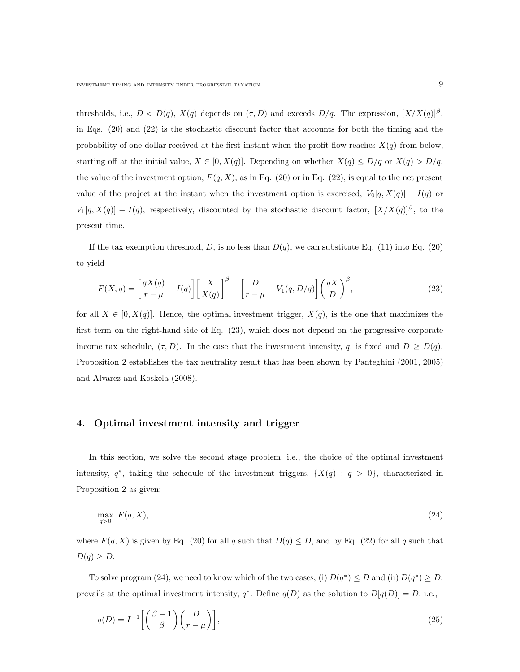thresholds, i.e.,  $D < D(q)$ ,  $X(q)$  depends on  $(\tau, D)$  and exceeds  $D/q$ . The expression,  $[X/X(q)]^{\beta}$ , in Eqs. (20) and (22) is the stochastic discount factor that accounts for both the timing and the probability of one dollar received at the first instant when the profit flow reaches  $X(q)$  from below, starting off at the initial value,  $X \in [0, X(q)]$ . Depending on whether  $X(q) \le D/q$  or  $X(q) > D/q$ , the value of the investment option,  $F(q, X)$ , as in Eq. (20) or in Eq. (22), is equal to the net present value of the project at the instant when the investment option is exercised,  $V_0[q, X(q)] - I(q)$  or  $V_1[q, X(q)] - I(q)$ , respectively, discounted by the stochastic discount factor,  $[X/X(q)]^{\beta}$ , to the present time.

If the tax exemption threshold, D, is no less than  $D(q)$ , we can substitute Eq. (11) into Eq. (20) to yield

$$
F(X,q) = \left[\frac{qX(q)}{r-\mu} - I(q)\right] \left[\frac{X}{X(q)}\right]^\beta - \left[\frac{D}{r-\mu} - V_1(q,D/q)\right] \left(\frac{qX}{D}\right)^\beta,
$$
\n(23)

for all  $X \in [0, X(q)]$ . Hence, the optimal investment trigger,  $X(q)$ , is the one that maximizes the first term on the right-hand side of Eq. (23), which does not depend on the progressive corporate income tax schedule,  $(\tau, D)$ . In the case that the investment intensity, q, is fixed and  $D \ge D(q)$ , Proposition 2 establishes the tax neutrality result that has been shown by Panteghini (2001, 2005) and Alvarez and Koskela (2008).

### 4. Optimal investment intensity and trigger

In this section, we solve the second stage problem, i.e., the choice of the optimal investment intensity,  $q^*$ , taking the schedule of the investment triggers,  $\{X(q) : q > 0\}$ , characterized in Proposition 2 as given:

$$
\max_{q>0} F(q,X),\tag{24}
$$

where  $F(q, X)$  is given by Eq. (20) for all q such that  $D(q) \leq D$ , and by Eq. (22) for all q such that  $D(q) \geq D.$ 

To solve program (24), we need to know which of the two cases, (i)  $D(q^*) \le D$  and (ii)  $D(q^*) \ge D$ , prevails at the optimal investment intensity,  $q^*$ . Define  $q(D)$  as the solution to  $D[q(D)] = D$ , i.e.,

$$
q(D) = I^{-1} \left[ \left( \frac{\beta - 1}{\beta} \right) \left( \frac{D}{r - \mu} \right) \right],\tag{25}
$$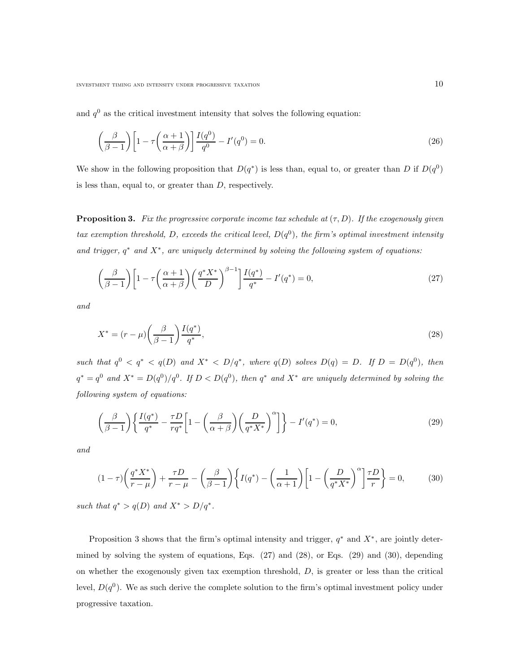and  $q<sup>0</sup>$  as the critical investment intensity that solves the following equation:

$$
\left(\frac{\beta}{\beta - 1}\right) \left[1 - \tau \left(\frac{\alpha + 1}{\alpha + \beta}\right)\right] \frac{I(q^0)}{q^0} - I'(q^0) = 0.
$$
\n(26)

We show in the following proposition that  $D(q^*)$  is less than, equal to, or greater than D if  $D(q^0)$ is less than, equal to, or greater than D, respectively.

**Proposition 3.** Fix the progressive corporate income tax schedule at  $(\tau, D)$ . If the exogenously given tax exemption threshold, D, exceeds the critical level,  $D(q^0)$ , the firm's optimal investment intensity and trigger,  $q^*$  and  $X^*$ , are uniquely determined by solving the following system of equations:

$$
\left(\frac{\beta}{\beta-1}\right)\left[1-\tau\left(\frac{\alpha+1}{\alpha+\beta}\right)\left(\frac{q^*X^*}{D}\right)^{\beta-1}\right]\frac{I(q^*)}{q^*}-I'(q^*)=0,\tag{27}
$$

and

$$
X^* = (r - \mu) \left(\frac{\beta}{\beta - 1}\right) \frac{I(q^*)}{q^*},\tag{28}
$$

such that  $q^0 < q^* < q(D)$  and  $X^* < D/q^*$ , where  $q(D)$  solves  $D(q) = D$ . If  $D = D(q^0)$ , then  $q^* = q^0$  and  $X^* = D(q^0)/q^0$ . If  $D < D(q^0)$ , then  $q^*$  and  $X^*$  are uniquely determined by solving the following system of equations:

$$
\left(\frac{\beta}{\beta-1}\right) \left\{ \frac{I(q^*)}{q^*} - \frac{\tau D}{r q^*} \left[ 1 - \left(\frac{\beta}{\alpha+\beta}\right) \left(\frac{D}{q^* X^*}\right)^\alpha \right] \right\} - I'(q^*) = 0,\tag{29}
$$

and

$$
(1-\tau)\left(\frac{q^*X^*}{r-\mu}\right) + \frac{\tau D}{r-\mu} - \left(\frac{\beta}{\beta-1}\right)\left\{I(q^*) - \left(\frac{1}{\alpha+1}\right)\left[1 - \left(\frac{D}{q^*X^*}\right)^\alpha\right]\frac{\tau D}{r}\right\} = 0,\tag{30}
$$

such that  $q^* > q(D)$  and  $X^* > D/q^*$ .

Proposition 3 shows that the firm's optimal intensity and trigger,  $q^*$  and  $X^*$ , are jointly determined by solving the system of equations, Eqs. (27) and (28), or Eqs. (29) and (30), depending on whether the exogenously given tax exemption threshold,  $D$ , is greater or less than the critical level,  $D(q^0)$ . We as such derive the complete solution to the firm's optimal investment policy under progressive taxation.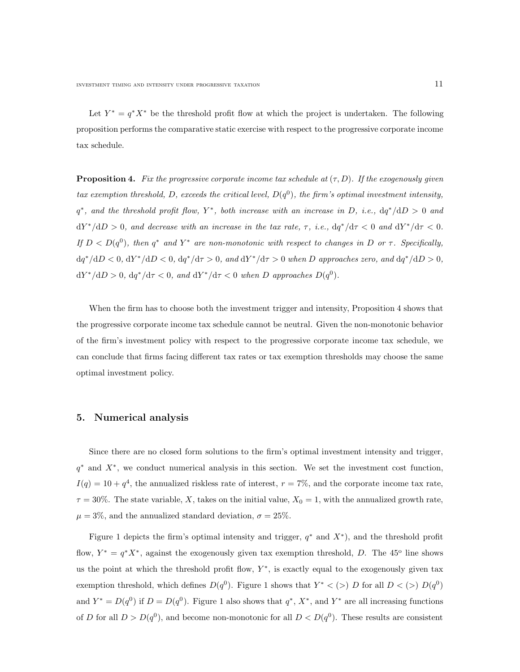Let  $Y^* = q^*X^*$  be the threshold profit flow at which the project is undertaken. The following proposition performs the comparative static exercise with respect to the progressive corporate income tax schedule.

**Proposition 4.** Fix the progressive corporate income tax schedule at  $(\tau, D)$ . If the exogenously given tax exemption threshold, D, exceeds the critical level,  $D(q^0)$ , the firm's optimal investment intensity,  $q^*$ , and the threshold profit flow, Y<sup>\*</sup>, both increase with an increase in D, i.e.,  $dq^*/dD > 0$  and  $dY^*/dD > 0$ , and decrease with an increase in the tax rate,  $\tau$ , i.e.,  $dq^*/d\tau < 0$  and  $dY^*/d\tau < 0$ . If  $D < D(q^0)$ , then  $q^*$  and  $Y^*$  are non-monotonic with respect to changes in D or  $\tau$ . Specifically,  $dq^*/dD < 0$ ,  $dY^*/dD < 0$ ,  $dq^*/d\tau > 0$ , and  $dY^*/d\tau > 0$  when D approaches zero, and  $dq^*/dD > 0$ ,  $dY^*/dD > 0$ ,  $dq^*/d\tau < 0$ , and  $dY^*/d\tau < 0$  when D approaches  $D(q^0)$ .

When the firm has to choose both the investment trigger and intensity, Proposition 4 shows that the progressive corporate income tax schedule cannot be neutral. Given the non-monotonic behavior of the firm's investment policy with respect to the progressive corporate income tax schedule, we can conclude that firms facing different tax rates or tax exemption thresholds may choose the same optimal investment policy.

### 5. Numerical analysis

Since there are no closed form solutions to the firm's optimal investment intensity and trigger, q<sup>\*</sup> and  $X^*$ , we conduct numerical analysis in this section. We set the investment cost function,  $I(q) = 10 + q<sup>4</sup>$ , the annualized riskless rate of interest,  $r = 7\%$ , and the corporate income tax rate,  $\tau = 30\%$ . The state variable, X, takes on the initial value,  $X_0 = 1$ , with the annualized growth rate,  $\mu = 3\%$ , and the annualized standard deviation,  $\sigma = 25\%$ .

Figure 1 depicts the firm's optimal intensity and trigger,  $q^*$  and  $X^*$ ), and the threshold profit flow,  $Y^* = q^* X^*$ , against the exogenously given tax exemption threshold, D. The 45<sup>o</sup> line shows us the point at which the threshold profit flow,  $Y^*$ , is exactly equal to the exogenously given tax exemption threshold, which defines  $D(q^0)$ . Figure 1 shows that  $Y^* < (>) D$  for all  $D < (>) D(q^0)$ and  $Y^* = D(q^0)$  if  $D = D(q^0)$ . Figure 1 also shows that  $q^*, X^*$ , and  $Y^*$  are all increasing functions of D for all  $D > D(q^0)$ , and become non-monotonic for all  $D < D(q^0)$ . These results are consistent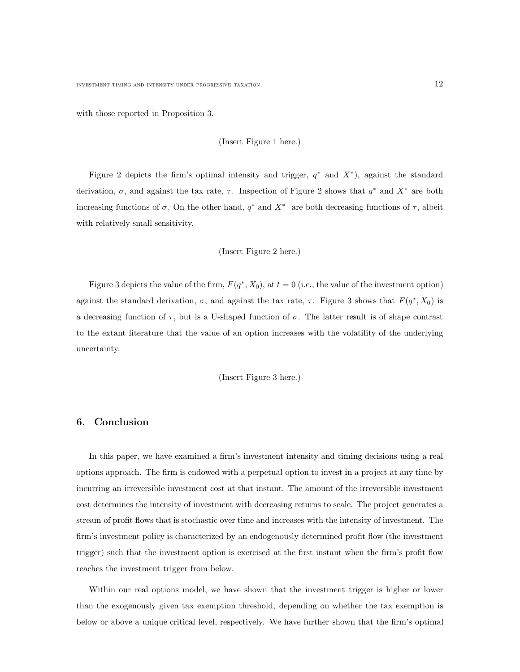with those reported in Proposition 3.

(Insert Figure 1 here.)

Figure 2 depicts the firm's optimal intensity and trigger,  $q^*$  and  $X^*$ ), against the standard derivation,  $\sigma$ , and against the tax rate,  $\tau$ . Inspection of Figure 2 shows that  $q^*$  and  $X^*$  are both increasing functions of  $\sigma$ . On the other hand,  $q^*$  and  $X^*$  are both decreasing functions of  $\tau$ , albeit with relatively small sensitivity.

(Insert Figure 2 here.)

Figure 3 depicts the value of the firm,  $F(q^*, X_0)$ , at  $t = 0$  (i.e., the value of the investment option) against the standard derivation,  $\sigma$ , and against the tax rate,  $\tau$ . Figure 3 shows that  $F(q^*, X_0)$  is a decreasing function of  $\tau$ , but is a U-shaped function of  $\sigma$ . The latter result is of shape contrast to the extant literature that the value of an option increases with the volatility of the underlying uncertainty.

(Insert Figure 3 here.)

#### 6. Conclusion

In this paper, we have examined a firm's investment intensity and timing decisions using a real options approach. The firm is endowed with a perpetual option to invest in a project at any time by incurring an irreversible investment cost at that instant. The amount of the irreversible investment cost determines the intensity of investment with decreasing returns to scale. The project generates a stream of profit flows that is stochastic over time and increases with the intensity of investment. The firm's investment policy is characterized by an endogenously determined profit flow (the investment trigger) such that the investment option is exercised at the first instant when the firm's profit flow reaches the investment trigger from below.

Within our real options model, we have shown that the investment trigger is higher or lower than the exogenously given tax exemption threshold, depending on whether the tax exemption is below or above a unique critical level, respectively. We have further shown that the firm's optimal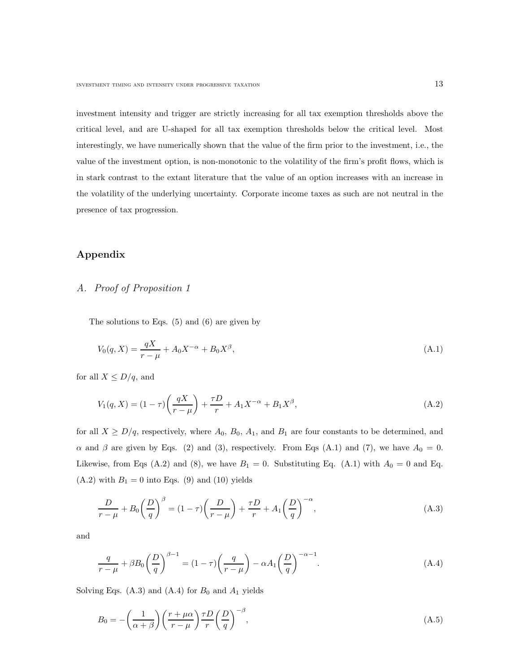investment intensity and trigger are strictly increasing for all tax exemption thresholds above the critical level, and are U-shaped for all tax exemption thresholds below the critical level. Most interestingly, we have numerically shown that the value of the firm prior to the investment, i.e., the value of the investment option, is non-monotonic to the volatility of the firm's profit flows, which is in stark contrast to the extant literature that the value of an option increases with an increase in the volatility of the underlying uncertainty. Corporate income taxes as such are not neutral in the presence of tax progression.

### Appendix

# A. Proof of Proposition 1

The solutions to Eqs. (5) and (6) are given by

$$
V_0(q, X) = \frac{qX}{r - \mu} + A_0 X^{-\alpha} + B_0 X^{\beta}, \tag{A.1}
$$

for all  $X \leq D/q$ , and

$$
V_1(q, X) = (1 - \tau) \left(\frac{qX}{r - \mu}\right) + \frac{\tau D}{r} + A_1 X^{-\alpha} + B_1 X^{\beta}, \tag{A.2}
$$

for all  $X \ge D/q$ , respectively, where  $A_0$ ,  $B_0$ ,  $A_1$ , and  $B_1$  are four constants to be determined, and  $\alpha$  and  $\beta$  are given by Eqs. (2) and (3), respectively. From Eqs (A.1) and (7), we have  $A_0 = 0$ . Likewise, from Eqs (A.2) and (8), we have  $B_1 = 0$ . Substituting Eq. (A.1) with  $A_0 = 0$  and Eq.  $(A.2)$  with  $B_1 = 0$  into Eqs.  $(9)$  and  $(10)$  yields

$$
\frac{D}{r-\mu} + B_0 \left(\frac{D}{q}\right)^{\beta} = (1-\tau)\left(\frac{D}{r-\mu}\right) + \frac{\tau D}{r} + A_1 \left(\frac{D}{q}\right)^{-\alpha},\tag{A.3}
$$

and

$$
\frac{q}{r-\mu} + \beta B_0 \left(\frac{D}{q}\right)^{\beta-1} = (1-\tau)\left(\frac{q}{r-\mu}\right) - \alpha A_1 \left(\frac{D}{q}\right)^{-\alpha-1}.\tag{A.4}
$$

Solving Eqs.  $(A.3)$  and  $(A.4)$  for  $B_0$  and  $A_1$  yields

$$
B_0 = -\left(\frac{1}{\alpha + \beta}\right) \left(\frac{r + \mu \alpha}{r - \mu}\right) \frac{\tau D}{r} \left(\frac{D}{q}\right)^{-\beta},\tag{A.5}
$$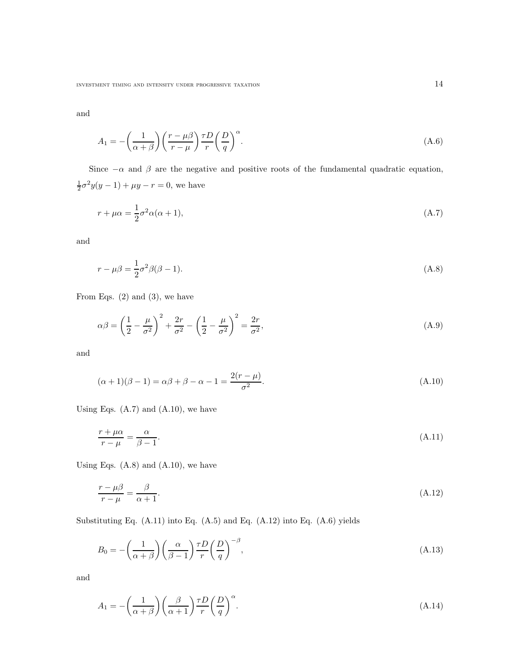INVESTMENT TIMING AND INTENSITY UNDER PROGRESSIVE TAXATION  $14\,$ 

and

$$
A_1 = -\left(\frac{1}{\alpha + \beta}\right) \left(\frac{r - \mu\beta}{r - \mu}\right) \frac{\tau D}{r} \left(\frac{D}{q}\right)^{\alpha}.
$$
\n(A.6)

Since  $-\alpha$  and  $\beta$  are the negative and positive roots of the fundamental quadratic equation,  $\frac{1}{2}\sigma^2 y(y-1) + \mu y - r = 0$ , we have

$$
r + \mu \alpha = \frac{1}{2} \sigma^2 \alpha (\alpha + 1), \tag{A.7}
$$

and

$$
r - \mu\beta = \frac{1}{2}\sigma^2\beta(\beta - 1). \tag{A.8}
$$

From Eqs.  $(2)$  and  $(3)$ , we have

$$
\alpha \beta = \left(\frac{1}{2} - \frac{\mu}{\sigma^2}\right)^2 + \frac{2r}{\sigma^2} - \left(\frac{1}{2} - \frac{\mu}{\sigma^2}\right)^2 = \frac{2r}{\sigma^2},\tag{A.9}
$$

and

$$
(\alpha + 1)(\beta - 1) = \alpha \beta + \beta - \alpha - 1 = \frac{2(r - \mu)}{\sigma^2}.
$$
 (A.10)

Using Eqs.  $(A.7)$  and  $(A.10)$ , we have

$$
\frac{r + \mu \alpha}{r - \mu} = \frac{\alpha}{\beta - 1}.
$$
\n(A.11)

Using Eqs.  $(A.8)$  and  $(A.10)$ , we have

$$
\frac{r - \mu\beta}{r - \mu} = \frac{\beta}{\alpha + 1}.\tag{A.12}
$$

Substituting Eq.  $(A.11)$  into Eq.  $(A.5)$  and Eq.  $(A.12)$  into Eq.  $(A.6)$  yields

$$
B_0 = -\left(\frac{1}{\alpha + \beta}\right) \left(\frac{\alpha}{\beta - 1}\right) \frac{\tau D}{r} \left(\frac{D}{q}\right)^{-\beta},\tag{A.13}
$$

and

$$
A_1 = -\left(\frac{1}{\alpha + \beta}\right) \left(\frac{\beta}{\alpha + 1}\right) \frac{\tau D}{r} \left(\frac{D}{q}\right)^{\alpha}.
$$
\n(A.14)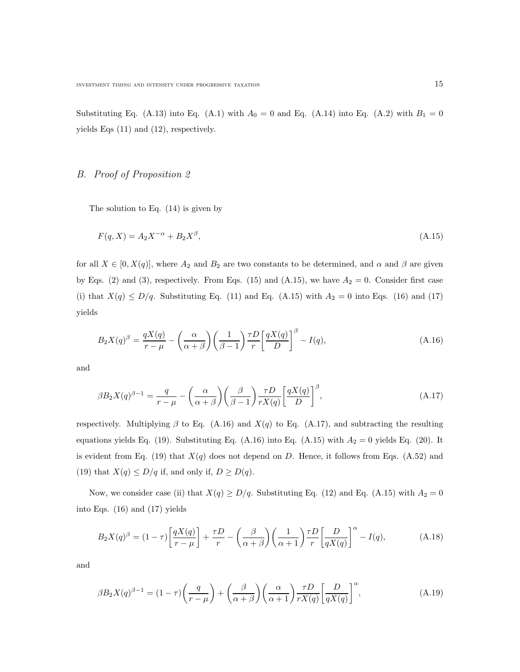Substituting Eq. (A.13) into Eq. (A.1) with  $A_0 = 0$  and Eq. (A.14) into Eq. (A.2) with  $B_1 = 0$ yields Eqs (11) and (12), respectively.

# B. Proof of Proposition 2

The solution to Eq. (14) is given by

$$
F(q, X) = A_2 X^{-\alpha} + B_2 X^{\beta}, \tag{A.15}
$$

for all  $X \in [0, X(q)]$ , where  $A_2$  and  $B_2$  are two constants to be determined, and  $\alpha$  and  $\beta$  are given by Eqs. (2) and (3), respectively. From Eqs. (15) and (A.15), we have  $A_2 = 0$ . Consider first case (i) that  $X(q) \le D/q$ . Substituting Eq. (11) and Eq. (A.15) with  $A_2 = 0$  into Eqs. (16) and (17) yields

$$
B_2 X(q)^{\beta} = \frac{qX(q)}{r - \mu} - \left(\frac{\alpha}{\alpha + \beta}\right) \left(\frac{1}{\beta - 1}\right) \frac{\tau D}{r} \left[\frac{qX(q)}{D}\right]^{\beta} - I(q),\tag{A.16}
$$

and

$$
\beta B_2 X(q)^{\beta - 1} = \frac{q}{r - \mu} - \left(\frac{\alpha}{\alpha + \beta}\right) \left(\frac{\beta}{\beta - 1}\right) \frac{\tau D}{r X(q)} \left[\frac{q X(q)}{D}\right]^{\beta},\tag{A.17}
$$

respectively. Multiplying  $\beta$  to Eq. (A.16) and  $X(q)$  to Eq. (A.17), and subtracting the resulting equations yields Eq. (19). Substituting Eq. (A.16) into Eq. (A.15) with  $A_2 = 0$  yields Eq. (20). It is evident from Eq. (19) that  $X(q)$  does not depend on D. Hence, it follows from Eqs. (A.52) and (19) that  $X(q) \le D/q$  if, and only if,  $D \ge D(q)$ .

Now, we consider case (ii) that  $X(q) \ge D/q$ . Substituting Eq. (12) and Eq. (A.15) with  $A_2 = 0$ into Eqs. (16) and (17) yields

$$
B_2X(q)^{\beta} = (1-\tau)\left[\frac{qX(q)}{r-\mu}\right] + \frac{\tau D}{r} - \left(\frac{\beta}{\alpha+\beta}\right)\left(\frac{1}{\alpha+1}\right)\frac{\tau D}{r}\left[\frac{D}{qX(q)}\right]^{\alpha} - I(q),\tag{A.18}
$$

and

$$
\beta B_2 X(q)^{\beta - 1} = (1 - \tau) \left(\frac{q}{r - \mu}\right) + \left(\frac{\beta}{\alpha + \beta}\right) \left(\frac{\alpha}{\alpha + 1}\right) \frac{\tau D}{r X(q)} \left[\frac{D}{q X(q)}\right]^{\alpha},\tag{A.19}
$$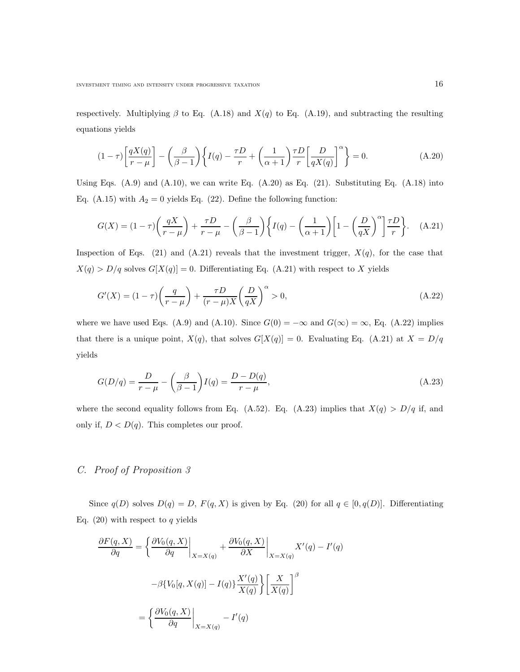respectively. Multiplying  $\beta$  to Eq. (A.18) and  $X(q)$  to Eq. (A.19), and subtracting the resulting equations yields

$$
(1 - \tau) \left[ \frac{qX(q)}{r - \mu} \right] - \left( \frac{\beta}{\beta - 1} \right) \left\{ I(q) - \frac{\tau D}{r} + \left( \frac{1}{\alpha + 1} \right) \frac{\tau D}{r} \left[ \frac{D}{qX(q)} \right]^\alpha \right\} = 0.
$$
 (A.20)

Using Eqs.  $(A.9)$  and  $(A.10)$ , we can write Eq.  $(A.20)$  as Eq.  $(21)$ . Substituting Eq.  $(A.18)$  into Eq. (A.15) with  $A_2 = 0$  yields Eq. (22). Define the following function:

$$
G(X) = (1 - \tau) \left(\frac{qX}{r - \mu}\right) + \frac{\tau D}{r - \mu} - \left(\frac{\beta}{\beta - 1}\right) \left\{ I(q) - \left(\frac{1}{\alpha + 1}\right) \left[1 - \left(\frac{D}{qX}\right)^{\alpha}\right] \frac{\tau D}{r} \right\}.
$$
 (A.21)

Inspection of Eqs. (21) and (A.21) reveals that the investment trigger,  $X(q)$ , for the case that  $X(q) > D/q$  solves  $G[X(q)] = 0$ . Differentiating Eq. (A.21) with respect to X yields

$$
G'(X) = (1 - \tau) \left(\frac{q}{r - \mu}\right) + \frac{\tau D}{(r - \mu)X} \left(\frac{D}{qX}\right)^{\alpha} > 0,
$$
\n(A.22)

where we have used Eqs. (A.9) and (A.10). Since  $G(0) = -\infty$  and  $G(\infty) = \infty$ , Eq. (A.22) implies that there is a unique point,  $X(q)$ , that solves  $G[X(q)] = 0$ . Evaluating Eq. (A.21) at  $X = D/q$ yields

$$
G(D/q) = \frac{D}{r - \mu} - \left(\frac{\beta}{\beta - 1}\right)I(q) = \frac{D - D(q)}{r - \mu},\tag{A.23}
$$

where the second equality follows from Eq. (A.52). Eq. (A.23) implies that  $X(q) > D/q$  if, and only if,  $D < D(q)$ . This completes our proof.

### C. Proof of Proposition 3

Since  $q(D)$  solves  $D(q) = D$ ,  $F(q, X)$  is given by Eq. (20) for all  $q \in [0, q(D)]$ . Differentiating Eq.  $(20)$  with respect to q yields

$$
\frac{\partial F(q, X)}{\partial q} = \left\{ \frac{\partial V_0(q, X)}{\partial q} \Big|_{X=X(q)} + \frac{\partial V_0(q, X)}{\partial X} \Big|_{X=X(q)} X'(q) - I'(q) \right\}
$$

$$
-\beta \{ V_0[q, X(q)] - I(q) \} \frac{X'(q)}{X(q)} \left\{ \frac{X}{X(q)} \right\}^{\beta}
$$

$$
= \left\{ \frac{\partial V_0(q, X)}{\partial q} \Big|_{X=X(q)} - I'(q) \right\}
$$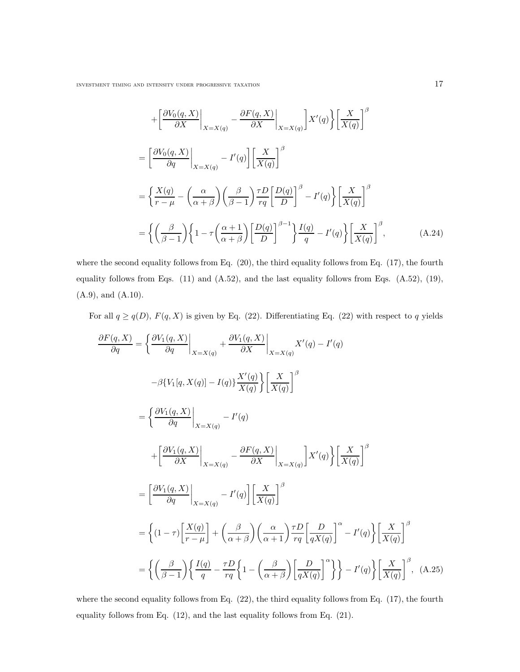INVESTMENT TIMING AND INTENSITY UNDER PROGRESSIVE TAXATION  $17\,$ 

$$
+\left[\frac{\partial V_0(q, X)}{\partial X}\Big|_{X=X(q)} - \frac{\partial F(q, X)}{\partial X}\Big|_{X=X(q)}\right]X'(q)\left\{\frac{X}{X(q)}\right\}^{\beta}
$$

$$
=\left[\frac{\partial V_0(q, X)}{\partial q}\Big|_{X=X(q)} - I'(q)\right]\left[\frac{X}{X(q)}\right]^{\beta}
$$

$$
=\left\{\frac{X(q)}{r-\mu} - \left(\frac{\alpha}{\alpha+\beta}\right)\left(\frac{\beta}{\beta-1}\right)\frac{\tau D}{r q}\left[\frac{D(q)}{D}\right]^{\beta} - I'(q)\right\}\left[\frac{X}{X(q)}\right]^{\beta}
$$

$$
=\left\{\left(\frac{\beta}{\beta-1}\right)\left\{1 - \tau\left(\frac{\alpha+1}{\alpha+\beta}\right)\left[\frac{D(q)}{D}\right]^{\beta-1}\right\}\frac{I(q)}{q} - I'(q)\right\}\left[\frac{X}{X(q)}\right]^{\beta},\tag{A.24}
$$

where the second equality follows from Eq. (20), the third equality follows from Eq. (17), the fourth equality follows from Eqs. (11) and (A.52), and the last equality follows from Eqs. (A.52), (19), (A.9), and (A.10).

For all  $q \geq q(D)$ ,  $F(q, X)$  is given by Eq. (22). Differentiating Eq. (22) with respect to q yields

$$
\frac{\partial F(q, X)}{\partial q} = \left\{ \frac{\partial V_1(q, X)}{\partial q} \Big|_{X=X(q)} + \frac{\partial V_1(q, X)}{\partial X} \Big|_{X=X(q)} X'(q) - I'(q) \right\}
$$

$$
- \beta \{ V_1[q, X(q)] - I(q) \} \frac{X'(q)}{X(q)} \left\{ \frac{X}{X(q)} \right\}^{\beta}
$$

$$
= \left\{ \frac{\partial V_1(q, X)}{\partial q} \Big|_{X=X(q)} - I'(q) \right\}
$$

$$
+ \left[ \frac{\partial V_1(q, X)}{\partial X} \Big|_{X=X(q)} - \frac{\partial F(q, X)}{\partial X} \Big|_{X=X(q)} \right] X'(q) \left\{ \frac{X}{X(q)} \right\}^{\beta}
$$

$$
= \left[ \frac{\partial V_1(q, X)}{\partial q} \Big|_{X=X(q)} - I'(q) \right] \left[ \frac{X}{X(q)} \right]^{\beta}
$$

$$
= \left\{ (1 - \tau) \left[ \frac{X(q)}{r - \mu} \right] + \left( \frac{\beta}{\alpha + \beta} \right) \left( \frac{\alpha}{\alpha + 1} \right) \frac{\tau D}{r q} \left[ \frac{D}{q X(q)} \right]^\alpha - I'(q) \right\} \left[ \frac{X}{X(q)} \right]^\beta
$$

$$
= \left\{ \left( \frac{\beta}{\beta - 1} \right) \left\{ \frac{I(q)}{q} - \frac{\tau D}{r q} \left\{ 1 - \left( \frac{\beta}{\alpha + \beta} \right) \left[ \frac{D}{q X(q)} \right]^\alpha \right\} \right\} - I'(q) \right\} \left[ \frac{X}{X(q)} \right]^\beta, \quad (A.25)
$$

where the second equality follows from Eq. (22), the third equality follows from Eq. (17), the fourth equality follows from Eq. (12), and the last equality follows from Eq. (21).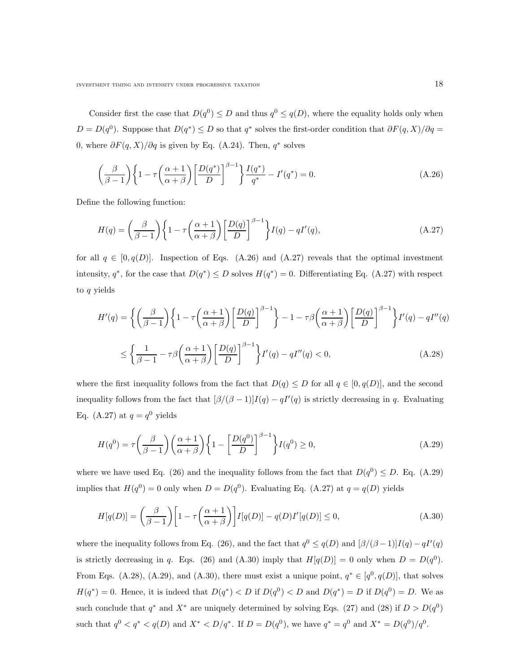Consider first the case that  $D(q^0) \leq D$  and thus  $q^0 \leq q(D)$ , where the equality holds only when  $D = D(q^0)$ . Suppose that  $D(q^*) \leq D$  so that  $q^*$  solves the first-order condition that  $\partial F(q, X)/\partial q =$ 0, where  $\partial F(q, X)/\partial q$  is given by Eq. (A.24). Then,  $q^*$  solves

$$
\left(\frac{\beta}{\beta-1}\right)\left\{1-\tau\left(\frac{\alpha+1}{\alpha+\beta}\right)\left[\frac{D(q^*)}{D}\right]^{\beta-1}\right\}\frac{I(q^*)}{q^*}-I'(q^*)=0.\tag{A.26}
$$

Define the following function:

$$
H(q) = \left(\frac{\beta}{\beta - 1}\right) \left\{1 - \tau \left(\frac{\alpha + 1}{\alpha + \beta}\right) \left[\frac{D(q)}{D}\right]^{\beta - 1}\right\} I(q) - qI'(q),\tag{A.27}
$$

for all  $q \in [0, q(D)]$ . Inspection of Eqs. (A.26) and (A.27) reveals that the optimal investment intensity,  $q^*$ , for the case that  $D(q^*) \leq D$  solves  $H(q^*) = 0$ . Differentiating Eq. (A.27) with respect to q yields

$$
H'(q) = \left\{ \left( \frac{\beta}{\beta - 1} \right) \left\{ 1 - \tau \left( \frac{\alpha + 1}{\alpha + \beta} \right) \left[ \frac{D(q)}{D} \right]^{\beta - 1} \right\} - 1 - \tau \beta \left( \frac{\alpha + 1}{\alpha + \beta} \right) \left[ \frac{D(q)}{D} \right]^{\beta - 1} \right\} I'(q) - qI''(q)
$$
  

$$
\leq \left\{ \frac{1}{\beta - 1} - \tau \beta \left( \frac{\alpha + 1}{\alpha + \beta} \right) \left[ \frac{D(q)}{D} \right]^{\beta - 1} \right\} I'(q) - qI''(q) < 0, \tag{A.28}
$$

where the first inequality follows from the fact that  $D(q) \leq D$  for all  $q \in [0, q(D)]$ , and the second inequality follows from the fact that  $\left[\beta/(\beta-1)\right]I(q) - qI'(q)$  is strictly decreasing in q. Evaluating Eq. (A.27) at  $q = q^0$  yields

$$
H(q^0) = \tau \left(\frac{\beta}{\beta - 1}\right) \left(\frac{\alpha + 1}{\alpha + \beta}\right) \left\{1 - \left[\frac{D(q^0)}{D}\right]^{\beta - 1}\right\} I(q^0) \ge 0,
$$
\n(A.29)

where we have used Eq. (26) and the inequality follows from the fact that  $D(q^0) \le D$ . Eq. (A.29) implies that  $H(q^0) = 0$  only when  $D = D(q^0)$ . Evaluating Eq. (A.27) at  $q = q(D)$  yields

$$
H[q(D)] = \left(\frac{\beta}{\beta - 1}\right) \left[1 - \tau \left(\frac{\alpha + 1}{\alpha + \beta}\right)\right] I[q(D)] - q(D)I'[q(D)] \le 0,
$$
\n(A.30)

where the inequality follows from Eq. (26), and the fact that  $q^0 \leq q(D)$  and  $\left[\beta/(\beta-1)\right]I(q) - qI'(q)$ is strictly decreasing in q. Eqs. (26) and (A.30) imply that  $H[q(D)] = 0$  only when  $D = D(q^0)$ . From Eqs. (A.28), (A.29), and (A.30), there must exist a unique point,  $q^* \in [q^0, q(D)]$ , that solves  $H(q^*) = 0$ . Hence, it is indeed that  $D(q^*) < D$  if  $D(q^0) < D$  and  $D(q^*) = D$  if  $D(q^0) = D$ . We as such conclude that  $q^*$  and  $X^*$  are uniquely determined by solving Eqs. (27) and (28) if  $D > D(q^0)$ such that  $q^0 < q^* < q(D)$  and  $X^* < D/q^*$ . If  $D = D(q^0)$ , we have  $q^* = q^0$  and  $X^* = D(q^0)/q^0$ .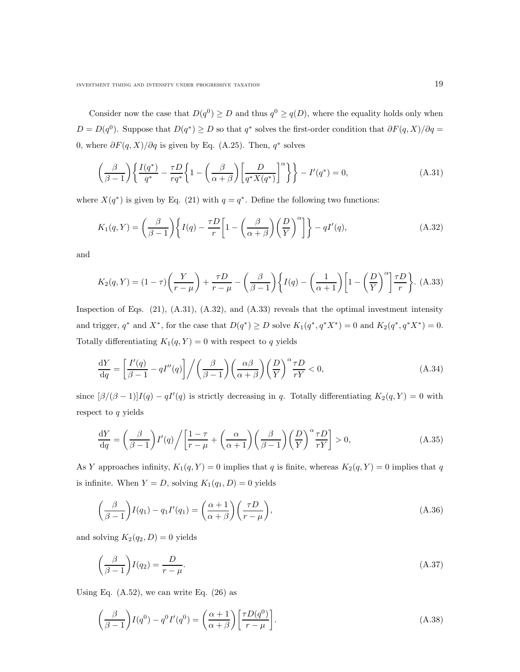Consider now the case that  $D(q^0) \ge D$  and thus  $q^0 \ge q(D)$ , where the equality holds only when  $D = D(q^0)$ . Suppose that  $D(q^*) \ge D$  so that  $q^*$  solves the first-order condition that  $\partial F(q, X)/\partial q =$ 0, where  $\partial F(q, X)/\partial q$  is given by Eq. (A.25). Then,  $q^*$  solves

$$
\left(\frac{\beta}{\beta-1}\right) \left\{ \frac{I(q^*)}{q^*} - \frac{\tau D}{r q^*} \left\{ 1 - \left(\frac{\beta}{\alpha+\beta}\right) \left[ \frac{D}{q^* X(q^*)} \right]^\alpha \right\} \right\} - I'(q^*) = 0,
$$
\n(A.31)

where  $X(q^*)$  is given by Eq. (21) with  $q = q^*$ . Define the following two functions:

$$
K_1(q,Y) = \left(\frac{\beta}{\beta - 1}\right) \left\{ I(q) - \frac{\tau D}{r} \left[ 1 - \left(\frac{\beta}{\alpha + \beta}\right) \left(\frac{D}{Y}\right)^{\alpha} \right] \right\} - qI'(q),\tag{A.32}
$$

and

$$
K_2(q,Y) = (1-\tau)\left(\frac{Y}{r-\mu}\right) + \frac{\tau D}{r-\mu} - \left(\frac{\beta}{\beta-1}\right)\left\{I(q) - \left(\frac{1}{\alpha+1}\right)\left[1 - \left(\frac{D}{Y}\right)^{\alpha}\right]\frac{\tau D}{r}\right\}.
$$
 (A.33)

Inspection of Eqs.  $(21)$ ,  $(A.31)$ ,  $(A.32)$ , and  $(A.33)$  reveals that the optimal investment intensity and trigger,  $q^*$  and  $X^*$ , for the case that  $D(q^*) \ge D$  solve  $K_1(q^*, q^*X^*) = 0$  and  $K_2(q^*, q^*X^*) = 0$ . Totally differentiating  $K_1(q, Y) = 0$  with respect to q yields

$$
\frac{\mathrm{d}Y}{\mathrm{d}q} = \left[\frac{I'(q)}{\beta - 1} - qI''(q)\right] \Big/ \left(\frac{\beta}{\beta - 1}\right) \left(\frac{\alpha \beta}{\alpha + \beta}\right) \left(\frac{D}{Y}\right)^{\alpha} \frac{\tau D}{rY} < 0,\tag{A.34}
$$

since  $[\beta/(\beta-1)]I(q) - qI'(q)$  is strictly decreasing in q. Totally differentiating  $K_2(q, Y) = 0$  with respect to q yields

$$
\frac{dY}{dq} = \left(\frac{\beta}{\beta - 1}\right)I'(q)\bigg/\bigg[\frac{1 - \tau}{r - \mu} + \left(\frac{\alpha}{\alpha + 1}\right)\left(\frac{\beta}{\beta - 1}\right)\left(\frac{D}{Y}\right)^{\alpha}\frac{\tau D}{rY}\bigg] > 0,
$$
\n(A.35)

As Y approaches infinity,  $K_1(q, Y) = 0$  implies that q is finite, whereas  $K_2(q, Y) = 0$  implies that q is infinite. When  $Y = D$ , solving  $K_1(q_1, D) = 0$  yields

$$
\left(\frac{\beta}{\beta - 1}\right)I(q_1) - q_1I'(q_1) = \left(\frac{\alpha + 1}{\alpha + \beta}\right)\left(\frac{\tau D}{r - \mu}\right),\tag{A.36}
$$

and solving  $K_2(q_2, D) = 0$  yields

$$
\left(\frac{\beta}{\beta - 1}\right)I(q_2) = \frac{D}{r - \mu}.\tag{A.37}
$$

Using Eq.  $(A.52)$ , we can write Eq.  $(26)$  as

$$
\left(\frac{\beta}{\beta - 1}\right)I(q^0) - q^0I'(q^0) = \left(\frac{\alpha + 1}{\alpha + \beta}\right)\left[\frac{\tau D(q^0)}{r - \mu}\right].\tag{A.38}
$$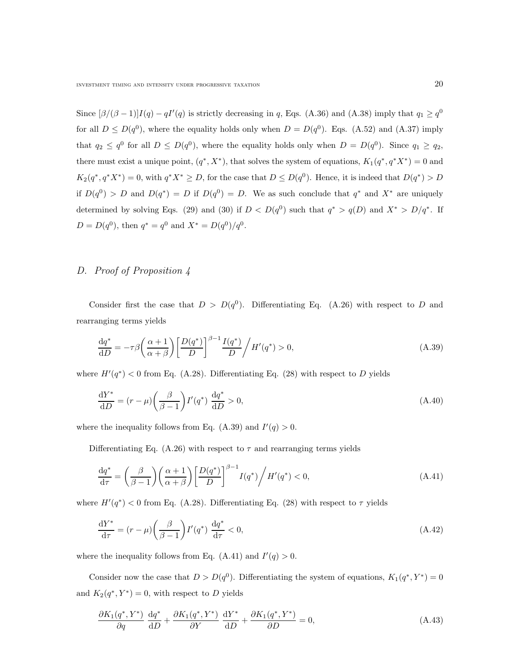Since  $[\beta/(\beta-1)]I(q) - qI'(q)$  is strictly decreasing in q, Eqs. (A.36) and (A.38) imply that  $q_1 \ge q^0$ for all  $D \le D(q^0)$ , where the equality holds only when  $D = D(q^0)$ . Eqs. (A.52) and (A.37) imply that  $q_2 \n\t\le q^0$  for all  $D \le D(q^0)$ , where the equality holds only when  $D = D(q^0)$ . Since  $q_1 \ge q_2$ , there must exist a unique point,  $(q^*, X^*)$ , that solves the system of equations,  $K_1(q^*, q^* X^*) = 0$  and  $K_2(q^*,q^*X^*)=0$ , with  $q^*X^*\geq D$ , for the case that  $D\leq D(q^0)$ . Hence, it is indeed that  $D(q^*)>D$ if  $D(q^0) > D$  and  $D(q^*) = D$  if  $D(q^0) = D$ . We as such conclude that  $q^*$  and  $X^*$  are uniquely determined by solving Eqs. (29) and (30) if  $D < D(q^0)$  such that  $q^* > q(D)$  and  $X^* > D/q^*$ . If  $D = D(q^0)$ , then  $q^* = q^0$  and  $X^* = D(q^0)/q^0$ .

# D. Proof of Proposition 4

Consider first the case that  $D > D(q^0)$ . Differentiating Eq. (A.26) with respect to D and rearranging terms yields

$$
\frac{\mathrm{d}q^*}{\mathrm{d}D} = -\tau \beta \left(\frac{\alpha+1}{\alpha+\beta}\right) \left[\frac{D(q^*)}{D}\right]^{\beta-1} \frac{I(q^*)}{D} / H'(q^*) > 0,\tag{A.39}
$$

where  $H'(q^*) < 0$  from Eq. (A.28). Differentiating Eq. (28) with respect to D yields

$$
\frac{\mathrm{d}Y^*}{\mathrm{d}D} = (r - \mu) \left(\frac{\beta}{\beta - 1}\right) I'(q^*) \frac{\mathrm{d}q^*}{\mathrm{d}D} > 0,\tag{A.40}
$$

where the inequality follows from Eq. (A.39) and  $I'(q) > 0$ .

Differentiating Eq. (A.26) with respect to  $\tau$  and rearranging terms yields

$$
\frac{\mathrm{d}q^*}{\mathrm{d}\tau} = \left(\frac{\beta}{\beta - 1}\right) \left(\frac{\alpha + 1}{\alpha + \beta}\right) \left[\frac{D(q^*)}{D}\right]^{\beta - 1} I(q^*) / H'(q^*) < 0,\tag{A.41}
$$

where  $H'(q^*)$  < 0 from Eq. (A.28). Differentiating Eq. (28) with respect to  $\tau$  yields

$$
\frac{\mathrm{d}Y^*}{\mathrm{d}\tau} = (r - \mu) \left(\frac{\beta}{\beta - 1}\right) I'(q^*) \frac{\mathrm{d}q^*}{\mathrm{d}\tau} < 0,\tag{A.42}
$$

where the inequality follows from Eq. (A.41) and  $I'(q) > 0$ .

Consider now the case that  $D > D(q^0)$ . Differentiating the system of equations,  $K_1(q^*, Y^*) = 0$ and  $K_2(q^*, Y^*) = 0$ , with respect to D yields

$$
\frac{\partial K_1(q^*,Y^*)}{\partial q}\frac{\mathrm{d}q^*}{\mathrm{d}D} + \frac{\partial K_1(q^*,Y^*)}{\partial Y}\frac{\mathrm{d}Y^*}{\mathrm{d}D} + \frac{\partial K_1(q^*,Y^*)}{\partial D} = 0,\tag{A.43}
$$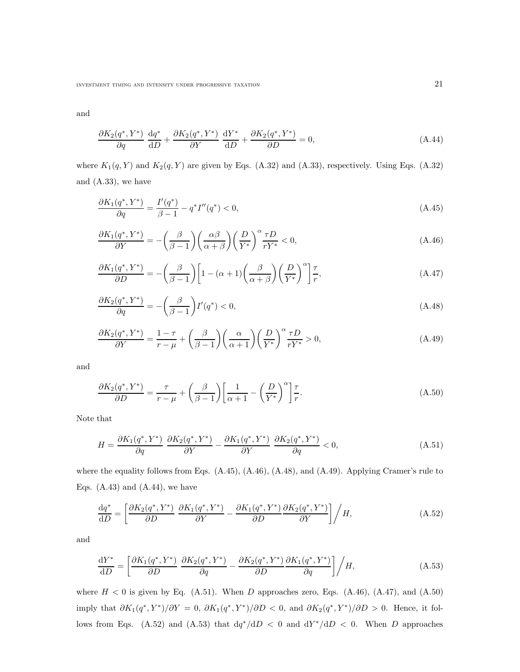INVESTMENT TIMING AND INTENSITY UNDER PROGRESSIVE TAXATION  $21$ 

and

$$
\frac{\partial K_2(q^*, Y^*)}{\partial q} \frac{\mathrm{d}q^*}{\mathrm{d}D} + \frac{\partial K_2(q^*, Y^*)}{\partial Y} \frac{\mathrm{d}Y^*}{\mathrm{d}D} + \frac{\partial K_2(q^*, Y^*)}{\partial D} = 0,\tag{A.44}
$$

where  $K_1(q, Y)$  and  $K_2(q, Y)$  are given by Eqs. (A.32) and (A.33), respectively. Using Eqs. (A.32) and (A.33), we have

$$
\frac{\partial K_1(q^*, Y^*)}{\partial q} = \frac{I'(q^*)}{\beta - 1} - q^* I''(q^*) < 0,\tag{A.45}
$$

$$
\frac{\partial K_1(q^*, Y^*)}{\partial Y} = -\left(\frac{\beta}{\beta - 1}\right) \left(\frac{\alpha \beta}{\alpha + \beta}\right) \left(\frac{D}{Y^*}\right)^{\alpha} \frac{\tau D}{rY^*} < 0,\tag{A.46}
$$

$$
\frac{\partial K_1(q^*, Y^*)}{\partial D} = -\left(\frac{\beta}{\beta - 1}\right) \left[1 - (\alpha + 1) \left(\frac{\beta}{\alpha + \beta}\right) \left(\frac{D}{Y^*}\right)^\alpha\right] \frac{\tau}{r},\tag{A.47}
$$

$$
\frac{\partial K_2(q^*,Y^*)}{\partial q} = -\left(\frac{\beta}{\beta - 1}\right)I'(q^*) < 0,\tag{A.48}
$$

$$
\frac{\partial K_2(q^*, Y^*)}{\partial Y} = \frac{1-\tau}{r-\mu} + \left(\frac{\beta}{\beta-1}\right) \left(\frac{\alpha}{\alpha+1}\right) \left(\frac{D}{Y^*}\right)^{\alpha} \frac{\tau D}{rY^*} > 0,\tag{A.49}
$$

and

$$
\frac{\partial K_2(q^*, Y^*)}{\partial D} = \frac{\tau}{r - \mu} + \left(\frac{\beta}{\beta - 1}\right) \left[\frac{1}{\alpha + 1} - \left(\frac{D}{Y^*}\right)^{\alpha}\right] \frac{\tau}{r}.\tag{A.50}
$$

Note that

$$
H = \frac{\partial K_1(q^*, Y^*)}{\partial q} \frac{\partial K_2(q^*, Y^*)}{\partial Y} - \frac{\partial K_1(q^*, Y^*)}{\partial Y} \frac{\partial K_2(q^*, Y^*)}{\partial q} < 0,\tag{A.51}
$$

where the equality follows from Eqs. (A.45), (A.46), (A.48), and (A.49). Applying Cramer's rule to Eqs.  $(A.43)$  and  $(A.44)$ , we have

$$
\frac{\mathrm{d}q^*}{\mathrm{d}D} = \left[ \frac{\partial K_2(q^*, Y^*)}{\partial D} \frac{\partial K_1(q^*, Y^*)}{\partial Y} - \frac{\partial K_1(q^*, Y^*)}{\partial D} \frac{\partial K_2(q^*, Y^*)}{\partial Y} \right] / H,\tag{A.52}
$$

and

$$
\frac{\mathrm{d}Y^*}{\mathrm{d}D} = \left[ \frac{\partial K_1(q^*, Y^*)}{\partial D} \frac{\partial K_2(q^*, Y^*)}{\partial q} - \frac{\partial K_2(q^*, Y^*)}{\partial D} \frac{\partial K_1(q^*, Y^*)}{\partial q} \right] / H,\tag{A.53}
$$

where  $H < 0$  is given by Eq. (A.51). When D approaches zero, Eqs. (A.46), (A.47), and (A.50) imply that  $\partial K_1(q^*, Y^*)/\partial Y = 0$ ,  $\partial K_1(q^*, Y^*)/\partial D < 0$ , and  $\partial K_2(q^*, Y^*)/\partial D > 0$ . Hence, it follows from Eqs. (A.52) and (A.53) that  $dq^*/dD < 0$  and  $dY^*/dD < 0$ . When D approaches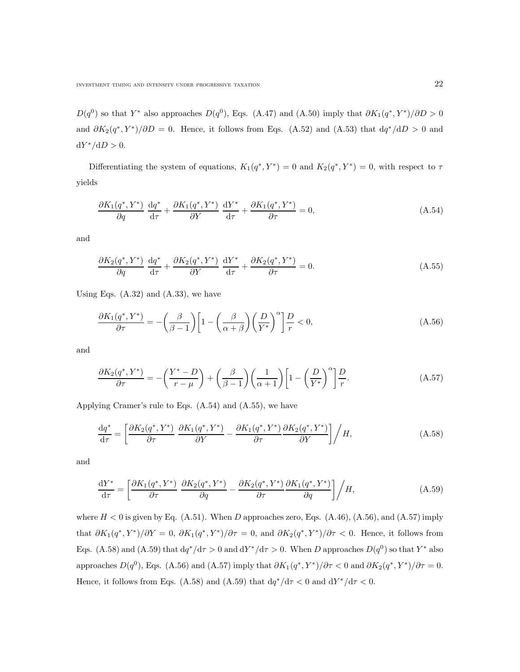$D(q^0)$  so that Y<sup>\*</sup> also approaches  $D(q^0)$ , Eqs. (A.47) and (A.50) imply that  $\partial K_1(q^*, Y^*)/\partial D > 0$ and  $\partial K_2(q^*, Y^*)/\partial D = 0$ . Hence, it follows from Eqs. (A.52) and (A.53) that  $dq^*/dD > 0$  and  $dY^*/dD > 0.$ 

Differentiating the system of equations,  $K_1(q^*, Y^*) = 0$  and  $K_2(q^*, Y^*) = 0$ , with respect to  $\tau$ yields

$$
\frac{\partial K_1(q^*, Y^*)}{\partial q} \frac{\mathrm{d}q^*}{\mathrm{d}\tau} + \frac{\partial K_1(q^*, Y^*)}{\partial Y} \frac{\mathrm{d}Y^*}{\mathrm{d}\tau} + \frac{\partial K_1(q^*, Y^*)}{\partial \tau} = 0, \tag{A.54}
$$

and

$$
\frac{\partial K_2(q^*,Y^*)}{\partial q}\frac{\mathrm{d}q^*}{\mathrm{d}\tau} + \frac{\partial K_2(q^*,Y^*)}{\partial Y}\frac{\mathrm{d}Y^*}{\mathrm{d}\tau} + \frac{\partial K_2(q^*,Y^*)}{\partial \tau} = 0.
$$
\n(A.55)

Using Eqs.  $(A.32)$  and  $(A.33)$ , we have

$$
\frac{\partial K_1(q^*, Y^*)}{\partial \tau} = -\left(\frac{\beta}{\beta - 1}\right) \left[1 - \left(\frac{\beta}{\alpha + \beta}\right) \left(\frac{D}{Y^*}\right)^{\alpha}\right] \frac{D}{r} < 0,\tag{A.56}
$$

and

$$
\frac{\partial K_2(q^*, Y^*)}{\partial \tau} = -\left(\frac{Y^*-D}{r-\mu}\right) + \left(\frac{\beta}{\beta-1}\right) \left(\frac{1}{\alpha+1}\right) \left[1 - \left(\frac{D}{Y^*}\right)^{\alpha}\right] \frac{D}{r}.\tag{A.57}
$$

Applying Cramer's rule to Eqs. (A.54) and (A.55), we have

$$
\frac{\mathrm{d}q^*}{\mathrm{d}\tau} = \left[ \frac{\partial K_2(q^*, Y^*)}{\partial \tau} \frac{\partial K_1(q^*, Y^*)}{\partial Y} - \frac{\partial K_1(q^*, Y^*)}{\partial \tau} \frac{\partial K_2(q^*, Y^*)}{\partial Y} \right] / H, \tag{A.58}
$$

and

$$
\frac{\mathrm{d}Y^*}{\mathrm{d}\tau} = \left[ \frac{\partial K_1(q^*, Y^*)}{\partial \tau} \frac{\partial K_2(q^*, Y^*)}{\partial q} - \frac{\partial K_2(q^*, Y^*)}{\partial \tau} \frac{\partial K_1(q^*, Y^*)}{\partial q} \right] / H,\tag{A.59}
$$

where  $H < 0$  is given by Eq. (A.51). When D approaches zero, Eqs. (A.46), (A.56), and (A.57) imply that  $\partial K_1(q^*, Y^*)/\partial Y = 0$ ,  $\partial K_1(q^*, Y^*)/\partial \tau = 0$ , and  $\partial K_2(q^*, Y^*)/\partial \tau < 0$ . Hence, it follows from Eqs. (A.58) and (A.59) that  $dq^*/d\tau > 0$  and  $dY^*/d\tau > 0$ . When D approaches  $D(q^0)$  so that  $Y^*$  also approaches  $D(q^0)$ , Eqs. (A.56) and (A.57) imply that  $\partial K_1(q^*, Y^*)/\partial \tau < 0$  and  $\partial K_2(q^*, Y^*)/\partial \tau = 0$ . Hence, it follows from Eqs. (A.58) and (A.59) that  $dq^*/d\tau < 0$  and  $dY^*/d\tau < 0$ .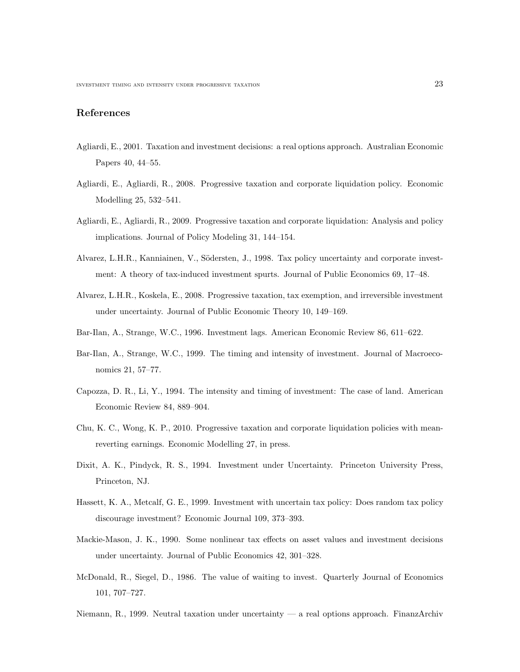# References

- Agliardi, E., 2001. Taxation and investment decisions: a real options approach. Australian Economic Papers 40, 44–55.
- Agliardi, E., Agliardi, R., 2008. Progressive taxation and corporate liquidation policy. Economic Modelling 25, 532–541.
- Agliardi, E., Agliardi, R., 2009. Progressive taxation and corporate liquidation: Analysis and policy implications. Journal of Policy Modeling 31, 144–154.
- Alvarez, L.H.R., Kanniainen, V., Södersten, J., 1998. Tax policy uncertainty and corporate investment: A theory of tax-induced investment spurts. Journal of Public Economics 69, 17–48.
- Alvarez, L.H.R., Koskela, E., 2008. Progressive taxation, tax exemption, and irreversible investment under uncertainty. Journal of Public Economic Theory 10, 149–169.
- Bar-Ilan, A., Strange, W.C., 1996. Investment lags. American Economic Review 86, 611–622.
- Bar-Ilan, A., Strange, W.C., 1999. The timing and intensity of investment. Journal of Macroeconomics 21, 57–77.
- Capozza, D. R., Li, Y., 1994. The intensity and timing of investment: The case of land. American Economic Review 84, 889–904.
- Chu, K. C., Wong, K. P., 2010. Progressive taxation and corporate liquidation policies with meanreverting earnings. Economic Modelling 27, in press.
- Dixit, A. K., Pindyck, R. S., 1994. Investment under Uncertainty. Princeton University Press, Princeton, NJ.
- Hassett, K. A., Metcalf, G. E., 1999. Investment with uncertain tax policy: Does random tax policy discourage investment? Economic Journal 109, 373–393.
- Mackie-Mason, J. K., 1990. Some nonlinear tax effects on asset values and investment decisions under uncertainty. Journal of Public Economics 42, 301–328.
- McDonald, R., Siegel, D., 1986. The value of waiting to invest. Quarterly Journal of Economics 101, 707–727.
- Niemann, R., 1999. Neutral taxation under uncertainty a real options approach. FinanzArchiv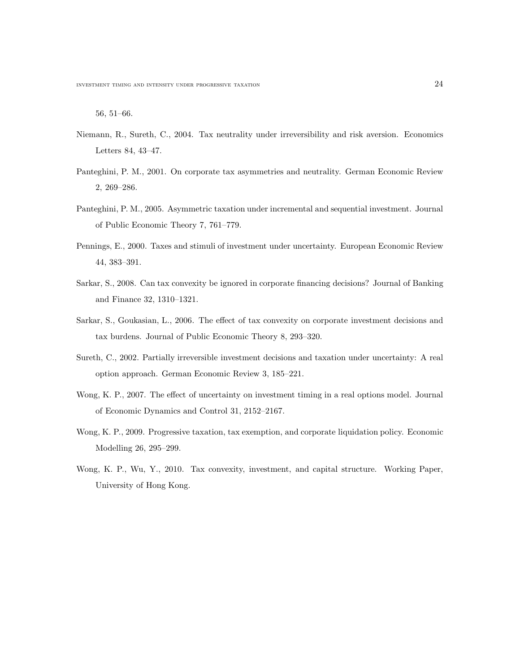56, 51–66.

- Niemann, R., Sureth, C., 2004. Tax neutrality under irreversibility and risk aversion. Economics Letters 84, 43–47.
- Panteghini, P. M., 2001. On corporate tax asymmetries and neutrality. German Economic Review 2, 269–286.
- Panteghini, P. M., 2005. Asymmetric taxation under incremental and sequential investment. Journal of Public Economic Theory 7, 761–779.
- Pennings, E., 2000. Taxes and stimuli of investment under uncertainty. European Economic Review 44, 383–391.
- Sarkar, S., 2008. Can tax convexity be ignored in corporate financing decisions? Journal of Banking and Finance 32, 1310–1321.
- Sarkar, S., Goukasian, L., 2006. The effect of tax convexity on corporate investment decisions and tax burdens. Journal of Public Economic Theory 8, 293–320.
- Sureth, C., 2002. Partially irreversible investment decisions and taxation under uncertainty: A real option approach. German Economic Review 3, 185–221.
- Wong, K. P., 2007. The effect of uncertainty on investment timing in a real options model. Journal of Economic Dynamics and Control 31, 2152–2167.
- Wong, K. P., 2009. Progressive taxation, tax exemption, and corporate liquidation policy. Economic Modelling 26, 295–299.
- Wong, K. P., Wu, Y., 2010. Tax convexity, investment, and capital structure. Working Paper, University of Hong Kong.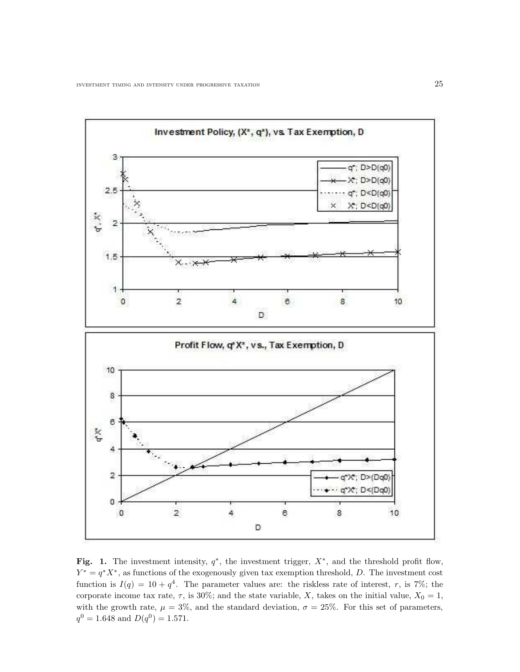

Fig. 1. The investment intensity,  $q^*$ , the investment trigger,  $X^*$ , and the threshold profit flow,  $Y^* = q^*X^*$ , as functions of the exogenously given tax exemption threshold, D. The investment cost function is  $I(q) = 10 + q^4$ . The parameter values are: the riskless rate of interest, r, is 7%; the corporate income tax rate,  $\tau$ , is 30%; and the state variable, X, takes on the initial value,  $X_0 = 1$ , with the growth rate,  $\mu = 3\%$ , and the standard deviation,  $\sigma = 25\%$ . For this set of parameters,  $q^0 = 1.648$  and  $D(q^0) = 1.571$ .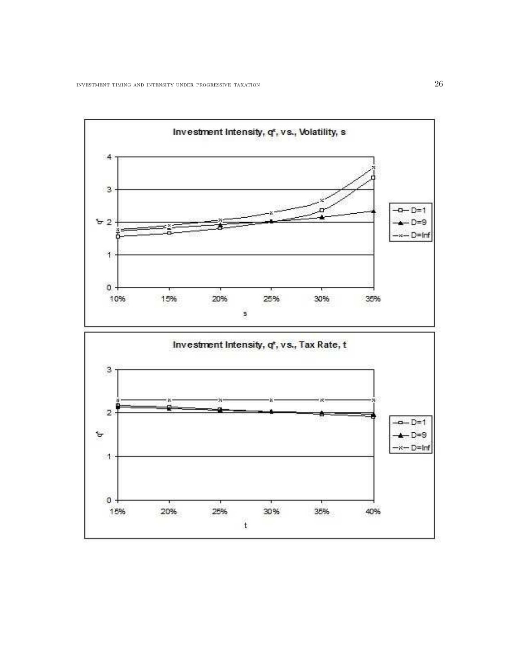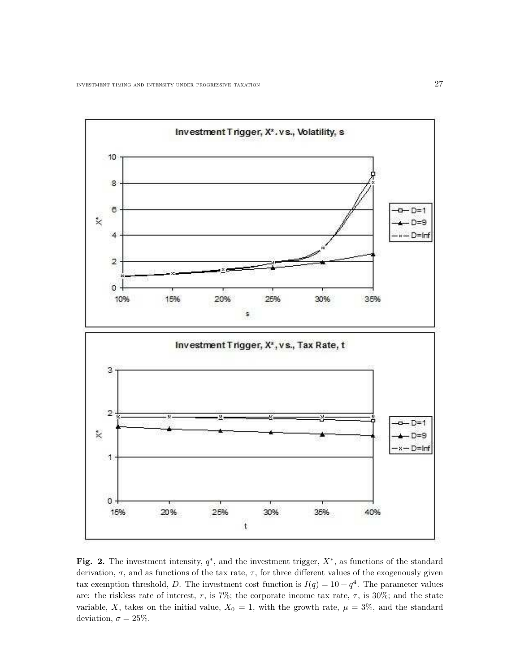

Fig. 2. The investment intensity,  $q^*$ , and the investment trigger,  $X^*$ , as functions of the standard derivation,  $\sigma$ , and as functions of the tax rate,  $\tau$ , for three different values of the exogenously given tax exemption threshold, D. The investment cost function is  $I(q) = 10 + q^4$ . The parameter values are: the riskless rate of interest, r, is 7%; the corporate income tax rate,  $\tau$ , is 30%; and the state variable, X, takes on the initial value,  $X_0 = 1$ , with the growth rate,  $\mu = 3\%$ , and the standard deviation,  $\sigma = 25\%.$